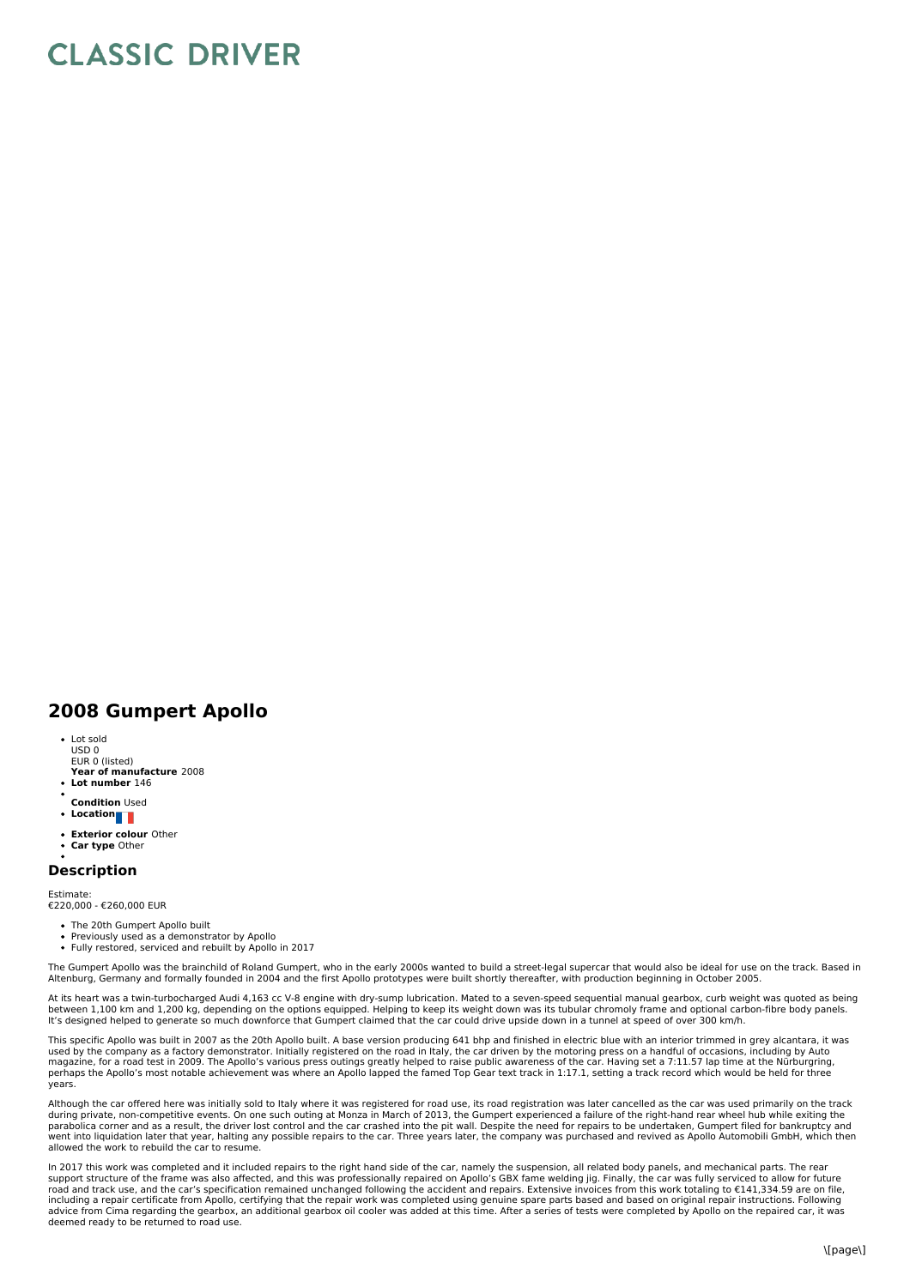## **CLASSIC DRIVER**

## **2008 Gumpert Apollo**

- Lot sold USD 0
- EUR 0 (listed)
- **Year of manufacture** 2008  $\bullet$ **Lot number** 146
- 
- **Condition** Used **Location**
- 
- **Exterior colour** Other **Car type** Other
- 

## **Description**

Estimate: €220,000 - €260,000 EUR

- The 20th Gumpert Apollo built
- Previously used as a demonstrator by Apollo Fully restored, serviced and rebuilt by Apollo in 2017

The Gumpert Apollo was the brainchild of Roland Gumpert, who in the early 2000s wanted to build a street-legal supercar that would also be ideal for use on the track. Based in Altenburg, Germany and formally founded in 2004 and the first Apollo prototypes were built shortly thereafter, with production beginning in October 2005.

At its heart was a twin-turbocharged Audi 4,163 cc V-8 engine with dry-sump lubrication. Mated to a seven-speed sequential manual gearbox, curb weight was quoted as being between 1,100 km and 1,200 kg, depending on the options equipped. Helping to keep its weight down was its tubular chromoly frame and optional carbon-fibre body panels.<br>It's designed helped to generate so much downforce tha

This specific Apollo was built in 2007 as the 20th Apollo built. A base version producing 641 bhp and finished in electric blue with an interior trimmed in grey alcantara, it was<br>used by the company as a factory demonstrat magazine, for a road test in 2009. The Apollo's various press outings greatly helped to raise public awareness of the car. Having set a 7:11.57 lap time at the Nürburgring,<br>perhaps the Apollo's most notable achievement was years.

Although the car offered here was initially sold to Italy where it was registered for road use, its road registration was later cancelled as the car was used primarily on the track during private, non-competitive events. On one such outing at Monza in March of 2013, the Gumpert experienced a failure of the right-hand rear wheel hub while exiting the<br>parabolica corner and as a result, the driver lost went into liquidation later that year, halting any possible repairs to the car. Three years later, the company was purchased and revived as Apollo Automobili GmbH, which then allowed the work to rebuild the car to resume.

In 2017 this work was completed and it included repairs to the right hand side of the car, namely the suspension, all related body panels, and mechanical parts. The rear<br>support structure of the frame was also affected, an including a repair certificate from Apollo, certifying that the repair work was completed using genuine spare parts based and based on original repair instructions. Following advice from Cima regarding the gearbox, an additional gearbox oil cooler was added at this time. After a series of tests were completed by Apollo on the repaired car, it was<br>deemed ready to be returned to road use.